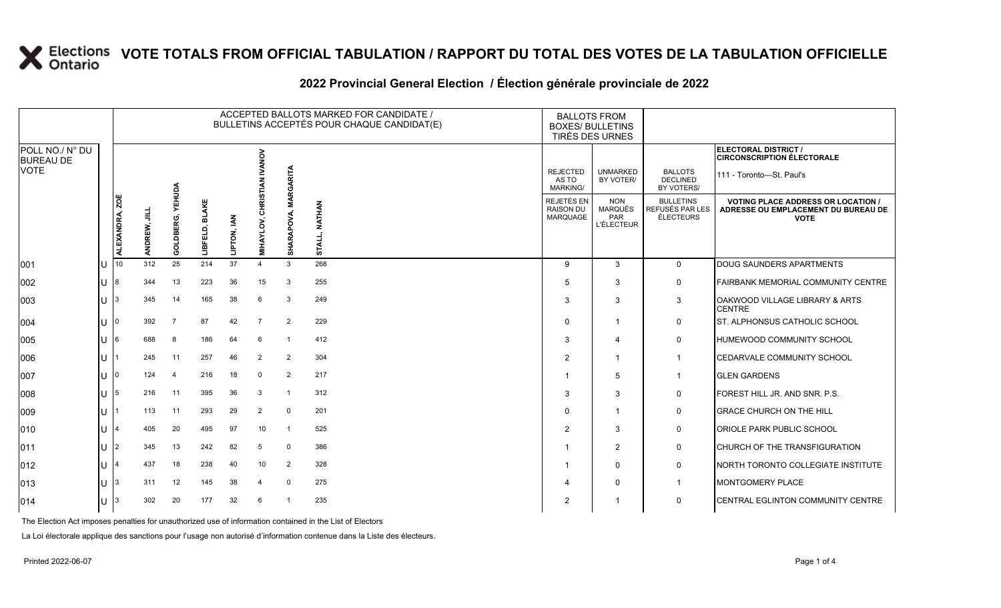#### **2022 Provincial General Election / Élection générale provinciale de 2022**

|                                     |                         |              |                                     |                        |             |                                      |                 | ACCEPTED BALLOTS MARKED FOR CANDIDATE /<br>BULLETINS ACCEPTÉS POUR CHAQUE CANDIDAT(E) | <b>BALLOTS FROM</b><br><b>BOXES/ BULLETINS</b><br><b>TIRÉS DES URNES</b> |                                                          |                                                  |                                                                                               |
|-------------------------------------|-------------------------|--------------|-------------------------------------|------------------------|-------------|--------------------------------------|-----------------|---------------------------------------------------------------------------------------|--------------------------------------------------------------------------|----------------------------------------------------------|--------------------------------------------------|-----------------------------------------------------------------------------------------------|
| POLL NO./ N° DU<br><b>BUREAU DE</b> |                         |              |                                     |                        |             | <b>NANOV</b>                         |                 |                                                                                       |                                                                          |                                                          |                                                  | ELECTORAL DISTRICT /<br><b>CIRCONSCRIPTION ÉLECTORALE</b>                                     |
| <b>VOTE</b>                         |                         |              | Αg                                  |                        |             |                                      | RGARITA         |                                                                                       | <b>REJECTED</b><br>AS TO<br><b>MARKING/</b>                              | <b>UNMARKED</b><br>BY VOTER/                             | <b>BALLOTS</b><br><b>DECLINED</b><br>BY VOTERS/  | 111 - Toronto-St. Paul's                                                                      |
|                                     | <u>ခြ</u><br>ALEXANDRA, | 阜<br>ANDREW, | 몺<br>Ě<br>$\overline{m}$<br>ິດ<br>Ō | <b>BLAKE</b><br>ᆏ<br>暗 | LIPTON, IAN | <b>CHRISTIAN</b><br><b>MIHAYLOV,</b> | Ā<br>SHARAPOVA, | <b>NATHAN</b><br>STALL,                                                               | REJETÉS EN<br><b>RAISON DU</b><br><b>MARQUAGE</b>                        | <b>NON</b><br><b>MARQUÉS</b><br>PAR<br><b>L'ÉLECTEUR</b> | <b>BULLETINS</b><br>REFUSÉS PAR LES<br>ÉLECTEURS | <b>VOTING PLACE ADDRESS OR LOCATION</b><br>ADRESSE OU EMPLACEMENT DU BUREAU DE<br><b>VOTE</b> |
| 001                                 | 10                      | 312          | 25                                  | 214                    | 37          | $\overline{4}$                       | 3               | 268                                                                                   | 9                                                                        | 3                                                        | $\mathbf 0$                                      | DOUG SAUNDERS APARTMENTS                                                                      |
| 002                                 |                         | 344          | 13                                  | 223                    | 36          | 15                                   | 3               | 255                                                                                   | 5                                                                        | 3                                                        | 0                                                | FAIRBANK MEMORIAL COMMUNITY CENTRE                                                            |
| 003                                 |                         | 345          | 14                                  | 165                    | 38          | 6                                    | 3               | 249                                                                                   | 3                                                                        | 3                                                        | 3                                                | OAKWOOD VILLAGE LIBRARY & ARTS<br><b>CENTRE</b>                                               |
| 004                                 |                         | 392          | $\overline{7}$                      | 87                     | 42          | 7                                    | $\overline{2}$  | 229                                                                                   | $\Omega$                                                                 | $\mathbf 1$                                              | 0                                                | ST. ALPHONSUS CATHOLIC SCHOOL                                                                 |
| 005                                 | 16.                     | 688          | 8                                   | 186                    | 64          | 6                                    | -1              | 412                                                                                   | 3                                                                        | Δ                                                        | 0                                                | <b>HUMEWOOD COMMUNITY SCHOOL</b>                                                              |
| 006                                 |                         | 245          | 11                                  | 257                    | 46          | 2                                    | $\overline{2}$  | 304                                                                                   | $\mathcal{P}$                                                            | $\mathbf 1$                                              | $\mathbf{1}$                                     | <b>CEDARVALE COMMUNITY SCHOOL</b>                                                             |
| 007                                 |                         | 124          | $\overline{4}$                      | 216                    | 18          | $\mathbf 0$                          | $\overline{2}$  | 217                                                                                   |                                                                          | 5                                                        | $\mathbf{1}$                                     | <b>GLEN GARDENS</b>                                                                           |
| 008                                 | 5                       | 216          | 11                                  | 395                    | 36          | 3                                    | -1              | 312                                                                                   | 3                                                                        | 3                                                        | 0                                                | FOREST HILL JR. AND SNR. P.S.                                                                 |
| 009                                 |                         | 113          | 11                                  | 293                    | 29          | 2                                    | 0               | 201                                                                                   | $\Omega$                                                                 | 1                                                        | 0                                                | <b>GRACE CHURCH ON THE HILL</b>                                                               |
| 010                                 |                         | 405          | 20                                  | 495                    | 97          | 10                                   | $\overline{1}$  | 525                                                                                   | $\overline{2}$                                                           | 3                                                        | 0                                                | <b>ORIOLE PARK PUBLIC SCHOOL</b>                                                              |
| 011                                 |                         | 345          | 13                                  | 242                    | 82          | 5                                    | $\Omega$        | 386                                                                                   | -1                                                                       | 2                                                        | 0                                                | CHURCH OF THE TRANSFIGURATION                                                                 |
| 012                                 |                         | 437          | 18                                  | 238                    | 40          | 10                                   | $\overline{2}$  | 328                                                                                   | -1                                                                       | $\mathbf{0}$                                             | 0                                                | NORTH TORONTO COLLEGIATE INSTITUTE                                                            |
| 013                                 |                         | 311          | 12                                  | 145                    | 38          | 4                                    | 0               | 275                                                                                   | $\Delta$                                                                 | $\Omega$                                                 | $\mathbf{1}$                                     | <b>MONTGOMERY PLACE</b>                                                                       |
| 014                                 |                         | 302          | 20                                  | 177                    | 32          | 6                                    |                 | 235                                                                                   | 2                                                                        | -1                                                       | 0                                                | <b>CENTRAL EGLINTON COMMUNITY CENTRE</b>                                                      |

The Election Act imposes penalties for unauthorized use of information contained in the List of Electors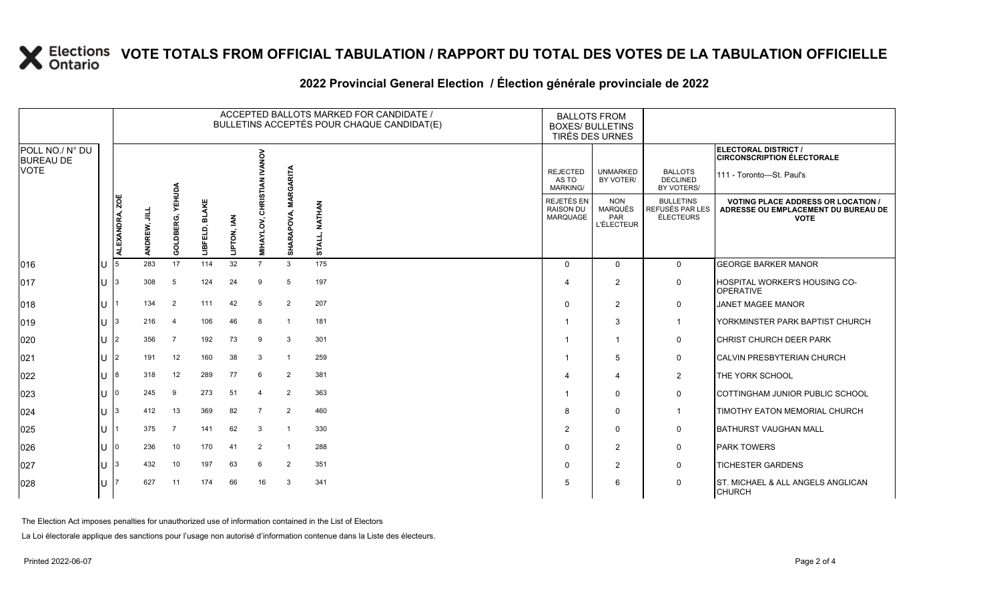### **2022 Provincial General Election / Élection générale provinciale de 2022**

|                                     |        |                |              |                     |                                     |             |                                       |                                   | ACCEPTED BALLOTS MARKED FOR CANDIDATE /<br>BULLETINS ACCEPTÉS POUR CHAQUE CANDIDAT(E) | <b>BALLOTS FROM</b><br><b>BOXES/ BULLETINS</b><br>TIRÉS DES URNES |                                                          |                                                  |                                                                                                 |
|-------------------------------------|--------|----------------|--------------|---------------------|-------------------------------------|-------------|---------------------------------------|-----------------------------------|---------------------------------------------------------------------------------------|-------------------------------------------------------------------|----------------------------------------------------------|--------------------------------------------------|-------------------------------------------------------------------------------------------------|
| POLL NO./ N° DU<br><b>BUREAU DE</b> |        |                |              |                     |                                     |             | <b>VONA</b>                           |                                   |                                                                                       |                                                                   |                                                          |                                                  | ELECTORAL DISTRICT /<br><b>CIRCONSCRIPTION ÉLECTORALE</b>                                       |
| <b>VOTE</b>                         |        |                |              |                     |                                     |             |                                       | RGARITA                           |                                                                                       | <b>REJECTED</b><br>AS TO<br><b>MARKING/</b>                       | <b>UNMARKED</b><br>BY VOTER/                             | <b>BALLOTS</b><br><b>DECLINED</b><br>BY VOTERS/  | 111 - Toronto-St. Paul's                                                                        |
|                                     |        | ALEXANDRA, ZOË | ANDREW, JILL | YEHUDA<br>GOLDBERG, | <b>BLAKE</b><br>Ó,<br><b>TIBLET</b> | LIPTON, IAN | <b>CHRISTIA</b><br>š<br><b>MIHAYL</b> | ⋚<br><b>RAPOVA,</b><br><b>SHA</b> | <b>NATHAN</b><br>STALL                                                                | REJETÉS EN<br><b>RAISON DU</b><br>MARQUAGE                        | <b>NON</b><br><b>MARQUÉS</b><br>PAR<br><b>L'ÉLECTEUR</b> | <b>BULLETINS</b><br>REFUSÉS PAR LES<br>ÉLECTEURS | <b>VOTING PLACE ADDRESS OR LOCATION /</b><br>ADRESSE OU EMPLACEMENT DU BUREAU DE<br><b>VOTE</b> |
| 016                                 |        |                | 283          | 17                  | 114                                 | 32          | $\overline{7}$                        | 3                                 | 175                                                                                   | $\Omega$                                                          | $\mathbf{0}$                                             | $\mathbf 0$                                      | <b>GEORGE BARKER MANOR</b>                                                                      |
| 017                                 | U      |                | 308          | 5                   | 124                                 | 24          | 9                                     | 5                                 | 197                                                                                   | Δ                                                                 | $\overline{2}$                                           | $\mathbf 0$                                      | <b>HOSPITAL WORKER'S HOUSING CO-</b><br><b>OPERATIVE</b>                                        |
| 018                                 | U      |                | 134          | $\overline{2}$      | 111                                 | 42          | 5                                     | 2                                 | 207                                                                                   | $\Omega$                                                          | 2                                                        | $\mathbf 0$                                      | <b>JANET MAGEE MANOR</b>                                                                        |
| $ 019\rangle$                       | U      | 3              | 216          | $\overline{4}$      | 106                                 | 46          | 8                                     | $\overline{1}$                    | 181                                                                                   |                                                                   | 3                                                        | -1                                               | YORKMINSTER PARK BAPTIST CHURCH                                                                 |
| 020                                 | U      | $\overline{2}$ | 356          | $\overline{7}$      | 192                                 | 73          | 9                                     | 3                                 | 301                                                                                   |                                                                   | -1                                                       | 0                                                | <b>CHRIST CHURCH DEER PARK</b>                                                                  |
| 021                                 | U      | 2              | 191          | 12                  | 160                                 | 38          | 3                                     | $\mathbf{1}$                      | 259                                                                                   |                                                                   | 5                                                        | 0                                                | <b>CALVIN PRESBYTERIAN CHURCH</b>                                                               |
| 022                                 |        |                | 318          | 12                  | 289                                 | 77          | 6                                     | 2                                 | 381                                                                                   |                                                                   | $\overline{a}$                                           | $\overline{2}$                                   | THE YORK SCHOOL                                                                                 |
| 023                                 | U      | <sup>0</sup>   | 245          | 9                   | 273                                 | 51          | $\overline{4}$                        | 2                                 | 363                                                                                   |                                                                   | $\Omega$                                                 | 0                                                | COTTINGHAM JUNIOR PUBLIC SCHOOL                                                                 |
| 024                                 | U      | 3              | 412          | 13                  | 369                                 | 82          | $\overline{7}$                        | 2                                 | 460                                                                                   | 8                                                                 | $\mathbf{0}$                                             | $\overline{1}$                                   | <b>TIMOTHY EATON MEMORIAL CHURCH</b>                                                            |
| 025                                 | U      |                | 375          | 7                   | 141                                 | 62          | 3                                     | $\overline{1}$                    | 330                                                                                   | $\overline{2}$                                                    | $\Omega$                                                 | 0                                                | <b>BATHURST VAUGHAN MALL</b>                                                                    |
| 026                                 | $\cup$ | l O            | 236          | 10                  | 170                                 | 41          | 2                                     | $\overline{1}$                    | 288                                                                                   | $\Omega$                                                          | $\overline{2}$                                           | 0                                                | <b>PARK TOWERS</b>                                                                              |
| 027                                 | U      | 3              | 432          | 10                  | 197                                 | 63          | 6                                     | 2                                 | 351                                                                                   | $\Omega$                                                          | 2                                                        | 0                                                | <b>TICHESTER GARDENS</b>                                                                        |
| 028                                 |        |                | 627          | 11                  | 174                                 | 66          | 16                                    | 3                                 | 341                                                                                   | 5                                                                 | 6                                                        | 0                                                | <b>ST. MICHAEL &amp; ALL ANGELS ANGLICAN</b><br><b>CHURCH</b>                                   |

The Election Act imposes penalties for unauthorized use of information contained in the List of Electors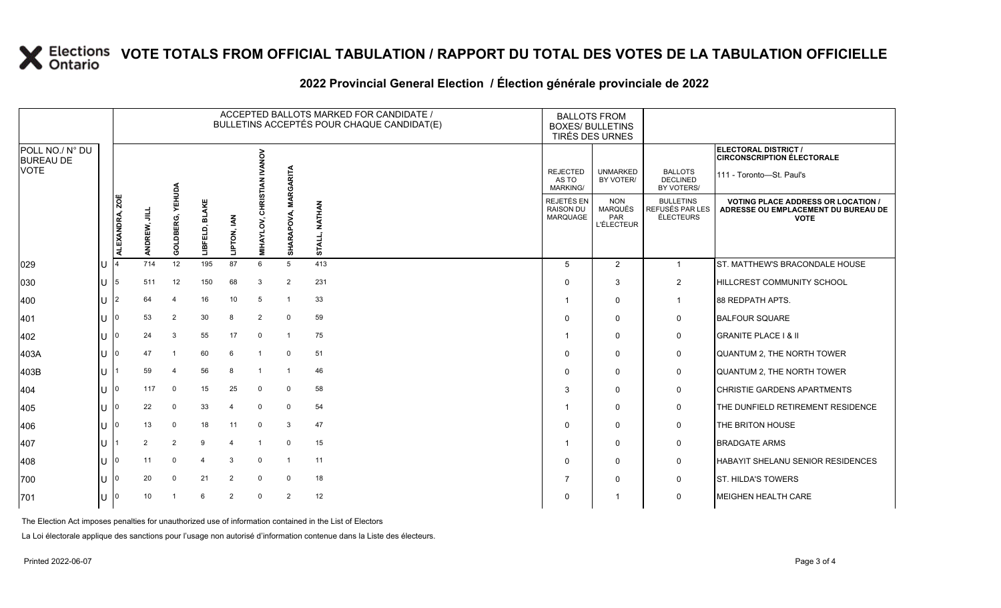### **2022 Provincial General Election / Élection générale provinciale de 2022**

|                                     |              |                |                 |                     |                          |                        |                                   |                   | ACCEPTED BALLOTS MARKED FOR CANDIDATE /<br>BULLETINS ACCEPTÉS POUR CHAQUE CANDIDAT(E) | <b>BALLOTS FROM</b>                                      | <b>BOXES/ BULLETINS</b><br>TIRÉS DES URNES               |                                                         |                                                                                                 |
|-------------------------------------|--------------|----------------|-----------------|---------------------|--------------------------|------------------------|-----------------------------------|-------------------|---------------------------------------------------------------------------------------|----------------------------------------------------------|----------------------------------------------------------|---------------------------------------------------------|-------------------------------------------------------------------------------------------------|
| POLL NO./ N° DU<br><b>BUREAU DE</b> |              |                |                 |                     |                          |                        | <b>ANOV</b>                       |                   |                                                                                       |                                                          |                                                          |                                                         | ELECTORAL DISTRICT /<br><b>CIRCONSCRIPTION ÉLECTORALE</b>                                       |
| <b>VOTE</b>                         |              |                |                 |                     |                          |                        |                                   |                   |                                                                                       | <b>REJECTED</b><br>AS TO<br><b>MARKING/</b>              | <b>UNMARKED</b><br>BY VOTER/                             | <b>BALLOTS</b><br><b>DECLINED</b><br>BY VOTERS/         | 111 - Toronto-St. Paul's                                                                        |
|                                     |              | ALEXANDRA, ZOË | 긐<br>ANDREW,    | YEHUDA<br>GOLDBERG, | <b>BLAKE</b><br>LIBFELD, | LIPTON, IAN            | is<br>Ris<br>공<br><b>MIHAYLOV</b> | <b>APOVA</b><br>₹ | NATHAN<br><b>STALL</b>                                                                | <b>REJETÉS EN</b><br><b>RAISON DU</b><br><b>MARQUAGE</b> | <b>NON</b><br><b>MARQUÉS</b><br>PAR<br><b>L'ÉLECTEUR</b> | <b>BULLETINS</b><br>REFUSÉS PAR LES<br><b>ÉLECTEURS</b> | <b>VOTING PLACE ADDRESS OR LOCATION /</b><br>ADRESSE OU EMPLACEMENT DU BUREAU DE<br><b>VOTE</b> |
| 029                                 |              |                | 714             | 12                  | 195                      | 87                     | 6                                 | 5                 | 413                                                                                   | 5                                                        | 2                                                        | $\mathbf{1}$                                            | ST. MATTHEW'S BRACONDALE HOUSE                                                                  |
| 030                                 | $\mathsf{U}$ | 15.            | 511             | 12                  | 150                      | 68                     | 3                                 | $\overline{2}$    | 231                                                                                   | $\Omega$                                                 | 3                                                        | 2                                                       | HILLCREST COMMUNITY SCHOOL                                                                      |
| 400                                 | U            |                | 64              | 4                   | 16                       | 10                     | -5                                | $\overline{1}$    | 33                                                                                    |                                                          | $\mathbf{0}$                                             | $\mathbf 1$                                             | 88 REDPATH APTS.                                                                                |
| 401                                 | $\mathbf{U}$ | ΙO             | 53              | $\overline{2}$      | 30                       | 8                      | $\overline{2}$                    | $\mathbf 0$       | 59                                                                                    | $\Omega$                                                 | $\Omega$                                                 | 0                                                       | <b>BALFOUR SQUARE</b>                                                                           |
| 402                                 | U            |                | 24              | 3                   | 55                       | 17                     | $\mathbf 0$                       | $\overline{1}$    | 75                                                                                    |                                                          | $\Omega$                                                 | 0                                                       | <b>GRANITE PLACE I &amp; II</b>                                                                 |
| 403A                                | lU           | ı∩             | 47              |                     | 60                       | 6                      |                                   | $\mathbf 0$       | 51                                                                                    | $\Omega$                                                 | $\mathbf{0}$                                             | 0                                                       | QUANTUM 2, THE NORTH TOWER                                                                      |
| 403B                                | $\mathbf{U}$ |                | 59              | $\overline{4}$      | 56                       | 8                      | $\overline{\mathbf{1}}$           | $\overline{1}$    | 46                                                                                    | $\Omega$                                                 | $\Omega$                                                 | 0                                                       | QUANTUM 2, THE NORTH TOWER                                                                      |
| 404                                 | U            | 10             | 117             | $\mathbf 0$         | 15                       | 25                     | $\mathbf 0$                       | $\mathbf 0$       | 58                                                                                    | 3                                                        | $\Omega$                                                 | 0                                                       | <b>CHRISTIE GARDENS APARTMENTS</b>                                                              |
| 405                                 | U            | ı٥             | 22              | 0                   | 33                       | $\overline{4}$         | $\mathbf 0$                       | $\mathbf 0$       | 54                                                                                    |                                                          | $\Omega$                                                 | 0                                                       | THE DUNFIELD RETIREMENT RESIDENCE                                                               |
| 406                                 | U            | ı٥             | 13              | $\mathbf 0$         | 18                       | 11                     | $\mathbf 0$                       | 3                 | 47                                                                                    | $\Omega$                                                 | $\Omega$                                                 | 0                                                       | THE BRITON HOUSE                                                                                |
| 407                                 | U            |                | $\overline{2}$  | $\overline{2}$      | 9                        | $\boldsymbol{\Lambda}$ | $\overline{1}$                    | $\mathbf 0$       | 15                                                                                    |                                                          | $\Omega$                                                 | 0                                                       | <b>BRADGATE ARMS</b>                                                                            |
| 408                                 | U            | ı٥             | 11              | $\Omega$            |                          | 3                      | $\Omega$                          | $\overline{1}$    | 11                                                                                    | $\Omega$                                                 | $\mathbf{0}$                                             | 0                                                       | HABAYIT SHELANU SENIOR RESIDENCES                                                               |
| 700                                 | $\cup$       | ı٥             | 20              | $\mathbf 0$         | 21                       | $\overline{2}$         | $\mathbf 0$                       | $\mathbf 0$       | 18                                                                                    |                                                          | $\Omega$                                                 | 0                                                       | <b>ST. HILDA'S TOWERS</b>                                                                       |
| 701                                 | $\cup$       |                | 10 <sup>°</sup> |                     |                          | $\overline{2}$         | $\mathbf 0$                       | 2                 | 12                                                                                    | $\Omega$                                                 |                                                          | $\mathbf 0$                                             | MEIGHEN HEALTH CARE                                                                             |

The Election Act imposes penalties for unauthorized use of information contained in the List of Electors